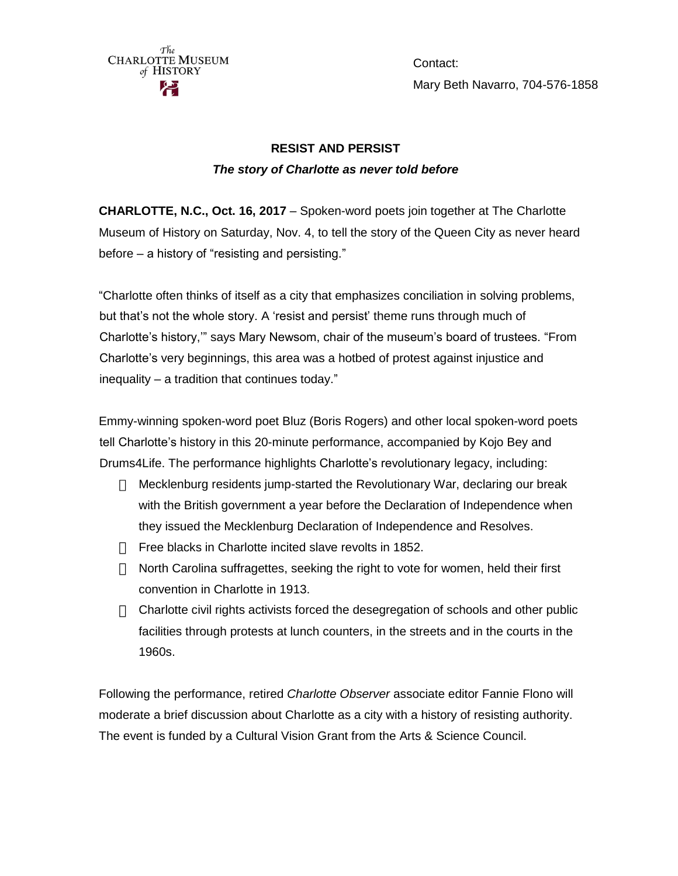

Contact: Mary Beth Navarro, 704-576-1858

# **RESIST AND PERSIST** *The story of Charlotte as never told before*

**CHARLOTTE, N.C., Oct. 16, 2017** – Spoken-word poets join together at The Charlotte Museum of History on Saturday, Nov. 4, to tell the story of the Queen City as never heard before – a history of "resisting and persisting."

"Charlotte often thinks of itself as a city that emphasizes conciliation in solving problems, but that's not the whole story. A 'resist and persist' theme runs through much of Charlotte's history,'" says Mary Newsom, chair of the museum's board of trustees. "From Charlotte's very beginnings, this area was a hotbed of protest against injustice and inequality – a tradition that continues today."

Emmy-winning spoken-word poet Bluz (Boris Rogers) and other local spoken-word poets tell Charlotte's history in this 20-minute performance, accompanied by Kojo Bey and Drums4Life. The performance highlights Charlotte's revolutionary legacy, including:

- $\Box$  Mecklenburg residents jump-started the Revolutionary War, declaring our break with the British government a year before the Declaration of Independence when they issued the Mecklenburg Declaration of Independence and Resolves.
- $\Box$  Free blacks in Charlotte incited slave revolts in 1852.
- $\Box$  North Carolina suffragettes, seeking the right to vote for women, held their first convention in Charlotte in 1913.
- $\Box$  Charlotte civil rights activists forced the desegregation of schools and other public facilities through protests at lunch counters, in the streets and in the courts in the 1960s.

Following the performance, retired *Charlotte Observer* associate editor Fannie Flono will moderate a brief discussion about Charlotte as a city with a history of resisting authority. The event is funded by a Cultural Vision Grant from the Arts & Science Council.